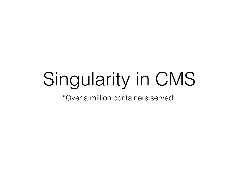## Singularity in CMS

"Over a million containers served"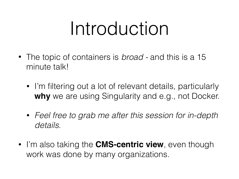## Introduction

- The topic of containers is *broad* and this is a 15 minute talk!
	- I'm filtering out a lot of relevant details, particularly **why** we are using Singularity and e.g., not Docker.
	- *Feel free to grab me after this session for in-depth details*.
- I'm also taking the **CMS-centric view**, even though work was done by many organizations.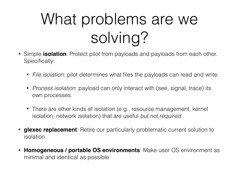#### What problems are we solving?

- Simple **isolation**: Protect pilot from payloads and payloads from each other. Specifically:
	- *File isolation*: pilot determines what files the payloads can read and write.
	- *Process isolation*: payload can only interact with (see, signal, trace) its own processes.
	- There are other kinds of isolation (e.g., resource management, kernel isolation, network isolation) that are useful *but not required*.
- **glexec replacement**: Retire our particularly problematic current solution to isolation.
- **Homogeneous / portable OS environments**: Make user OS environment as minimal and identical as possible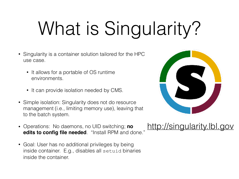## What is Singularity?

- Singularity is a container solution tailored for the HPC use case.
	- It allows for a portable of OS runtime environments.
	- It can provide isolation needed by CMS.
- Simple isolation: Singularity does not do resource management (i.e., limiting memory use), leaving that to the batch system.
- Operations: No daemons, no UID switching; **no edits to config file needed**. "Install RPM and done."
- Goal: User has no additional privileges by being inside container. E.g., disables all setuid binaries inside the container.



#### <http://singularity.lbl.gov>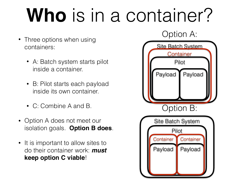## **Who** is in a container?

- Three options when using containers:
	- A: Batch system starts pilot inside a container.
	- B: Pilot starts each payload inside its own container.
	- C: Combine A and B.
- Option A does not meet our isolation goals. **Option B does**.
- It is important to allow sites to do their container work: *must* **keep option C viable**!

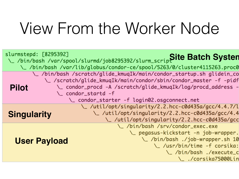#### View From the Worker Node

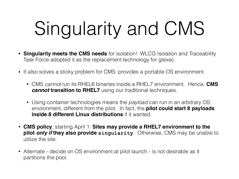# Singularity and CMS

- **Singularity meets the CMS needs** for isolation! WLCG Isolation and Traceability Task Force adopted it as the replacement technology for glexec.
- It also solves a sticky problem for CMS: provides a portable OS environment.
	- CMS *cannot* run its RHEL6 binaries inside a RHEL7 environment. Hence, **CMS**  *cannot* **transition to RHEL7** using our traditional techniques.
	- Using container technologies means the *payload* can run in an arbitrary OS environment, different from the pilot. In fact, the **pilot could start 8 payloads inside 8 different Linux distributions** if it wanted.
- **CMS policy**, starting April 1: **Sites may provide a RHEL7 environment to the pilot** *only if* **they also provide singularity**. Otherwise, CMS may be unable to utilize the site.
- Alternate decide on OS environment at pilot launch is not desirable as it partitions the pool.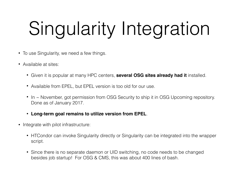# Singularity Integration

- To use Singularity, we need a few things.
- Available at sites:
	- Given it is popular at many HPC centers, **several OSG sites already had it** installed.
	- Available from EPEL, but EPEL version is too old for our use.
	- In ~ November, got permission from OSG Security to ship it in OSG Upcoming repository. Done as of January 2017.
	- **Long-term goal remains to utilize version from EPEL**.
- Integrate with pilot infrastructure:
	- HTCondor can invoke Singularity directly or Singularity can be integrated into the wrapper script.
	- Since there is no separate daemon or UID switching, no code needs to be changed besides job startup! For OSG & CMS, this was about 400 lines of bash.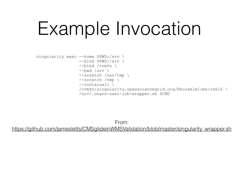## Example Invocation

```
singularity exec --home $PWD:/srv \
       --bind $PWD:/srv \
       --bind /cvmfs \
       --pwd /srv \ 
       --scratch /var/tmp \ 
       --scratch /tmp \ 
       --containall \ 
       /cvmfs/singularity.opensciencegrid.org/bbockelm/cms:rhel6 \ 
       /srv/.osgvo-user-job-wrapper.sh $CMD
```
From: [https://github.com/jamesletts/CMSglideinWMSValidation/blob/master/singularity\\_wrapper.sh](https://github.com/jamesletts/CMSglideinWMSValidation/blob/master/singularity_wrapper.sh)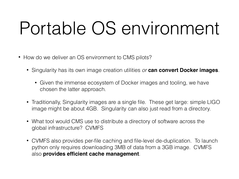## Portable OS environment

- How do we deliver an OS environment to CMS pilots?
	- Singularity has its own image creation utilities *or* **can convert Docker images**.
		- Given the immense ecosystem of Docker images and tooling, we have chosen the latter approach.
	- Traditionally, Singularity images are a single file. These get large: simple LIGO image might be about 4GB. Singularity can also just read from a directory.
	- What tool would CMS use to distribute a directory of software across the global infrastructure? CVMFS
	- CVMFS also provides per-file caching and file-level de-duplication. To launch python only requires downloading 3MB of data from a 3GB image. CVMFS also **provides efficient cache management**.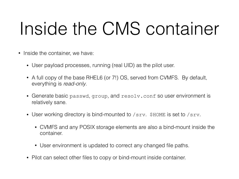## Inside the CMS container

- Inside the container, we have:
	- User payload processes, running (real UID) as the pilot user.
	- A full copy of the base RHEL6 (or 7!) OS, served from CVMFS. By default, everything is *read-only*.
	- Generate basic passwd, group, and resolv.conf so user environment is relatively sane.
	- User working directory is bind-mounted to /srv. \$HOME is set to /srv.
		- CVMFS and any POSIX storage elements are also a bind-mount inside the container.
		- User environment is updated to correct any changed file paths.
	- Pilot can select other files to copy or bind-mount inside container.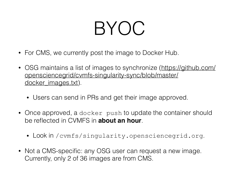## BYOC

- For CMS, we currently post the image to Docker Hub.
- [OSG maintains a list of images to synchronize \(https://github.com/](https://github.com/opensciencegrid/cvmfs-singularity-sync/blob/master/docker_images.txt) [opensciencegrid/cvmfs-singularity-sync/blob/master/](https://github.com/opensciencegrid/cvmfs-singularity-sync/blob/master/docker_images.txt) [docker\\_images.txt\)](https://github.com/opensciencegrid/cvmfs-singularity-sync/blob/master/docker_images.txt).
	- Users can send in PRs and get their image approved.
- Once approved, a docker push to update the container should be reflected in CVMFS in **about an hour**.
	- Look in /cvmfs/singularity.opensciencegrid.org.
- Not a CMS-specific: any OSG user can request a new image. Currently, only 2 of 36 images are from CMS.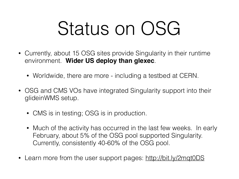## Status on OSG

- Currently, about 15 OSG sites provide Singularity in their runtime environment. **Wider US deploy than glexec**.
	- Worldwide, there are more including a testbed at CERN.
- OSG and CMS VOs have integrated Singularity support into their glideinWMS setup.
	- CMS is in testing; OSG is in production.
	- Much of the activity has occurred in the last few weeks. In early February, about 5% of the OSG pool supported Singularity. Currently, consistently 40-60% of the OSG pool.
- Learn more from the user support pages: <http://bit.ly/2mqt0DS>